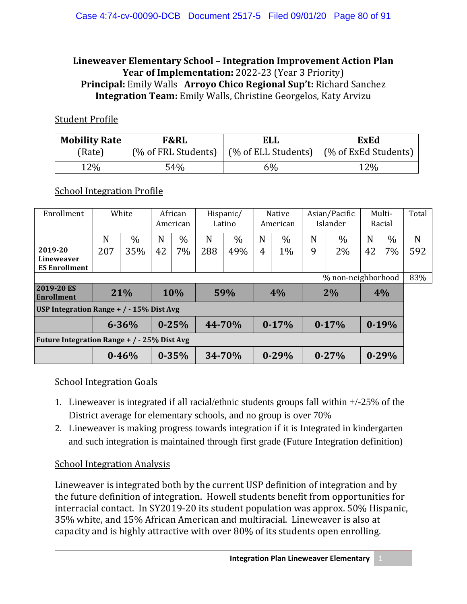### **Lineweaver Elementary School – Integration Improvement Action Plan** Year of Implementation: 2022-23 (Year 3 Priority) **Principal:** Emily Walls **Arroyo Chico Regional Sup't:** Richard Sanchez **Integration Team:** Emily Walls, Christine Georgelos, Katy Arvizu

#### Student Profile

| <b>Mobility Rate</b> | F&RL                | ELL                 | <b>ExEd</b>          |  |  |  |
|----------------------|---------------------|---------------------|----------------------|--|--|--|
| (Rate)               | (% of FRL Students) | (% of ELL Students) | (% of ExEd Students) |  |  |  |
| 12%                  | 54%                 | 6%                  | 12%                  |  |  |  |

#### School Integration Profile

| Enrollment                                    | White                  |           | African<br>American |           | Hispanic/<br>Latino |               | <b>Native</b><br>American |           | Asian/Pacific<br>Islander |           | Multi-<br>Racial |               | Total |
|-----------------------------------------------|------------------------|-----------|---------------------|-----------|---------------------|---------------|---------------------------|-----------|---------------------------|-----------|------------------|---------------|-------|
|                                               | N                      | $\%$      | N                   | $\%$      | N                   | $\frac{0}{0}$ | N                         | $\%$      | N                         | $\%$      | N                | $\frac{0}{0}$ | N     |
| 2019-20<br>Lineweaver<br><b>ES Enrollment</b> | 207                    | 35%       | 42                  | 7%        | 288                 | 49%           | $\overline{4}$            | 1%        | 9                         | 2%        | 42               | 7%            | 592   |
| % non-neighborhood                            |                        |           |                     |           |                     |               |                           |           |                           |           |                  |               | 83%   |
| 2019-20 ES<br><b>Enrollment</b>               | 21%                    |           | 10%                 |           |                     | 59%           | 4%                        |           | 2%                        |           | 4%               |               |       |
| USP Integration Range $+$ / $-$ 15% Dist Avg  |                        |           |                     |           |                     |               |                           |           |                           |           |                  |               |       |
|                                               | $0 - 25%$<br>$6 - 36%$ |           | 44-70%              |           | $0-17%$             |               | $0-17%$                   |           | $0-19%$                   |           |                  |               |       |
| Future Integration Range + / - 25% Dist Avg   |                        |           |                     |           |                     |               |                           |           |                           |           |                  |               |       |
|                                               |                        | $0 - 46%$ |                     | $0 - 35%$ |                     | 34-70%        |                           | $0 - 29%$ |                           | $0 - 27%$ |                  | $0 - 29%$     |       |

#### School Integration Goals

- 1. Lineweaver is integrated if all racial/ethnic students groups fall within +/-25% of the District average for elementary schools, and no group is over 70%
- 2. Lineweaver is making progress towards integration if it is Integrated in kindergarten and such integration is maintained through first grade (Future Integration definition)

#### School Integration Analysis

Lineweaver is integrated both by the current USP definition of integration and by the future definition of integration. Howell students benefit from opportunities for interracial contact. In SY2019-20 its student population was approx. 50% Hispanic, 35% white, and 15% African American and multiracial. Lineweaver is also at capacity and is highly attractive with over 80% of its students open enrolling.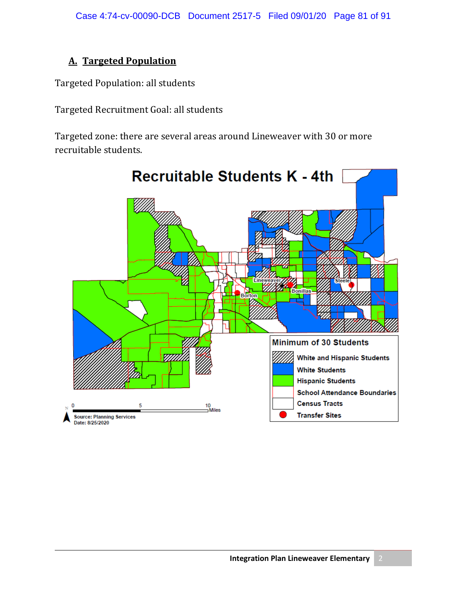## **A. Targeted Population**

Targeted Population: all students

Targeted Recruitment Goal: all students

Targeted zone: there are several areas around Lineweaver with 30 or more recruitable students.

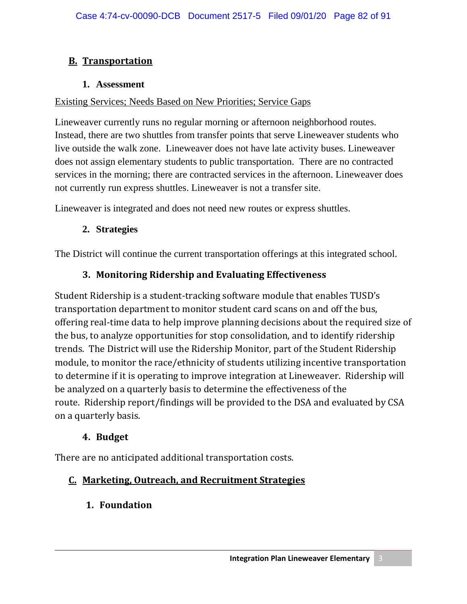## **B. Transportation**

#### **1. Assessment**

#### Existing Services; Needs Based on New Priorities; Service Gaps

Lineweaver currently runs no regular morning or afternoon neighborhood routes. Instead, there are two shuttles from transfer points that serve Lineweaver students who live outside the walk zone. Lineweaver does not have late activity buses. Lineweaver does not assign elementary students to public transportation. There are no contracted services in the morning; there are contracted services in the afternoon. Lineweaver does not currently run express shuttles. Lineweaver is not a transfer site.

Lineweaver is integrated and does not need new routes or express shuttles.

### **2. Strategies**

The District will continue the current transportation offerings at this integrated school.

## **3. Monitoring Ridership and Evaluating Effectiveness**

Student Ridership is a student-tracking software module that enables TUSD's transportation department to monitor student card scans on and off the bus, offering real-time data to help improve planning decisions about the required size of the bus, to analyze opportunities for stop consolidation, and to identify ridership trends. The District will use the Ridership Monitor, part of the Student Ridership module, to monitor the race/ethnicity of students utilizing incentive transportation to determine if it is operating to improve integration at Lineweaver. Ridership will be analyzed on a quarterly basis to determine the effectiveness of the route. Ridership report/findings will be provided to the DSA and evaluated by CSA on a quarterly basis.

## **4. Budget**

There are no anticipated additional transportation costs.

# **C. Marketing, Outreach, and Recruitment Strategies**

**1. Foundation**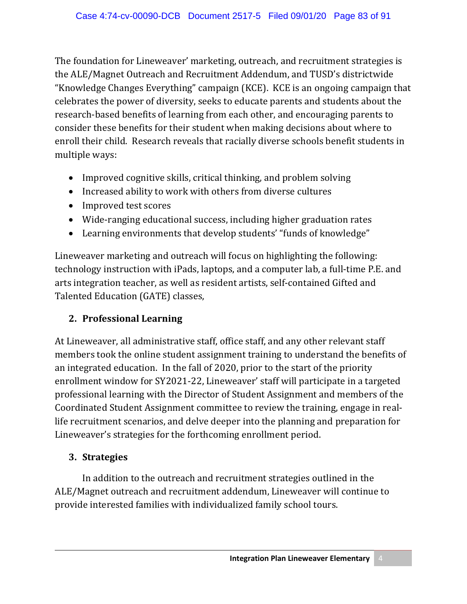The foundation for Lineweaver' marketing, outreach, and recruitment strategies is the ALE/Magnet Outreach and Recruitment Addendum, and TUSD's districtwide "Knowledge Changes Everything" campaign (KCE). KCE is an ongoing campaign that celebrates the power of diversity, seeks to educate parents and students about the research-based benefits of learning from each other, and encouraging parents to consider these benefits for their student when making decisions about where to enroll their child. Research reveals that racially diverse schools benefit students in multiple ways:

- Improved cognitive skills, critical thinking, and problem solving
- Increased ability to work with others from diverse cultures
- Improved test scores
- Wide-ranging educational success, including higher graduation rates
- Learning environments that develop students' "funds of knowledge"

Lineweaver marketing and outreach will focus on highlighting the following: technology instruction with iPads, laptops, and a computer lab, a full-time P.E. and arts integration teacher, as well as resident artists, self-contained Gifted and Talented Education (GATE) classes,

# **2. Professional Learning**

At Lineweaver, all administrative staff, office staff, and any other relevant staff members took the online student assignment training to understand the benefits of an integrated education. In the fall of 2020, prior to the start of the priority enrollment window for SY2021-22, Lineweaver' staff will participate in a targeted professional learning with the Director of Student Assignment and members of the Coordinated Student Assignment committee to review the training, engage in reallife recruitment scenarios, and delve deeper into the planning and preparation for Lineweaver's strategies for the forthcoming enrollment period.

# **3. Strategies**

In addition to the outreach and recruitment strategies outlined in the ALE/Magnet outreach and recruitment addendum, Lineweaver will continue to provide interested families with individualized family school tours.